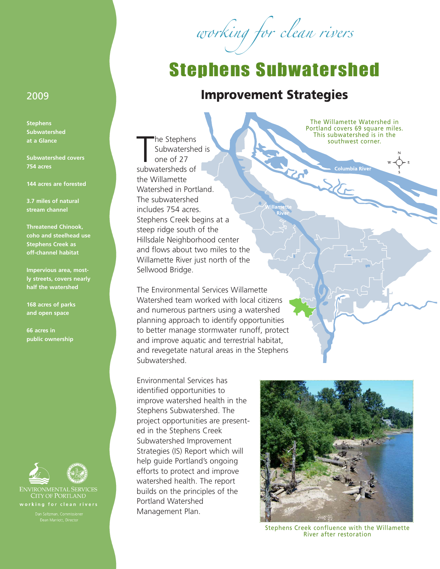working for clean rivers

## Stephens Subwatershed

## **Improvement Strategies**

 $\mathbf{z}$ 

The Stephens<br>
Subwatersheds<br>
one of 27<br>
subwatersheds of he Stephens Subwatershed is one of 27 the Willamette Watershed in Portland. The subwatershed includes 754 acres. Stephens Creek begins at a steep ridge south of the Hillsdale Neighborhood center and flows about two miles to the Willamette River just north of the Sellwood Bridge.

The Environmental Services Willamette Watershed team worked with local citizens and numerous partners using a watershed planning approach to identify opportunities to better manage stormwater runoff, protect and improve aquatic and terrestrial habitat, and revegetate natural areas in the Stephens Subwatershed.

Environmental Services has identified opportunities to improve watershed health in the Stephens Subwatershed. The project opportunities are presented in the Stephens Creek Subwatershed Improvement Strategies (IS) Report which will help guide Portland's ongoing efforts to protect and improve watershed health. The report builds on the principles of the Portland Watershed Management Plan.

The Willamette Watershed in Portland covers 69 square miles. This subwatershed is in the southwest corner.

**Columbia River** 

Stephens Creek confluence with the Willamette River after restoration

## 2009

**Stephens Subwatershed at a Glance**

**Subwatershed covers 754 acres**

**144 acres are forested**

**3.7 miles of natural stream channel**

**Threatened Chinook, coho and steelhead use Stephens Creek as off-channel habitat**

**Impervious area, mostly streets, covers nearly half the watershed**

**168 acres of parks and open space**

**66 acres in public ownership**





**ENVIRONMENTAL SERVICES** CITY OF PORTLAND working for clean rivers